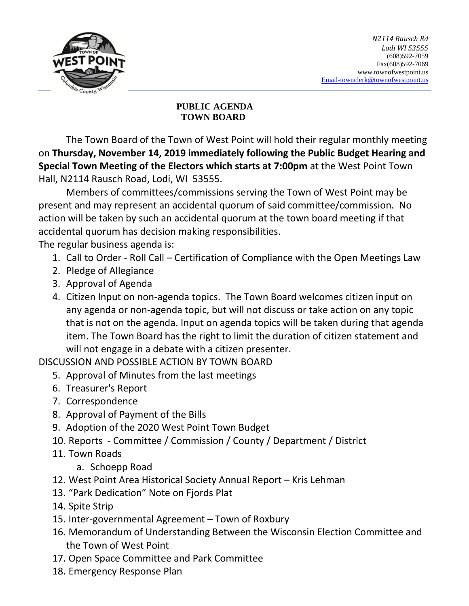

## **PUBLIC AGENDA TOWN BOARD**

The Town Board of the Town of West Point will hold their regular monthly meeting on **Thursday, November 14, 2019 immediately following the Public Budget Hearing and Special Town Meeting of the Electors which starts at 7:00pm** at the West Point Town Hall, N2114 Rausch Road, Lodi, WI 53555.

Members of committees/commissions serving the Town of West Point may be present and may represent an accidental quorum of said committee/commission. No action will be taken by such an accidental quorum at the town board meeting if that accidental quorum has decision making responsibilities.

The regular business agenda is:

- 1. Call to Order Roll Call Certification of Compliance with the Open Meetings Law
- 2. Pledge of Allegiance
- 3. Approval of Agenda
- 4. Citizen Input on non-agenda topics. The Town Board welcomes citizen input on any agenda or non-agenda topic, but will not discuss or take action on any topic that is not on the agenda. Input on agenda topics will be taken during that agenda item. The Town Board has the right to limit the duration of citizen statement and will not engage in a debate with a citizen presenter.

DISCUSSION AND POSSIBLE ACTION BY TOWN BOARD

- 5. Approval of Minutes from the last meetings
- 6. Treasurer's Report
- 7. Correspondence
- 8. Approval of Payment of the Bills
- 9. Adoption of the 2020 West Point Town Budget
- 10. Reports Committee / Commission / County / Department / District
- 11. Town Roads
	- a. Schoepp Road
- 12. West Point Area Historical Society Annual Report Kris Lehman
- 13. "Park Dedication" Note on Fjords Plat
- 14. Spite Strip
- 15. Inter-governmental Agreement Town of Roxbury
- 16. Memorandum of Understanding Between the Wisconsin Election Committee and the Town of West Point
- 17. Open Space Committee and Park Committee
- 18. Emergency Response Plan